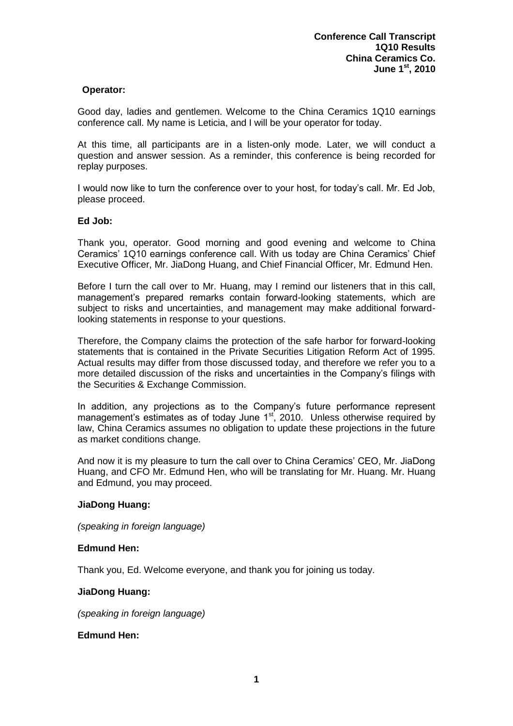## **Operator:**

Good day, ladies and gentlemen. Welcome to the China Ceramics 1Q10 earnings conference call. My name is Leticia, and I will be your operator for today.

At this time, all participants are in a listen-only mode. Later, we will conduct a question and answer session. As a reminder, this conference is being recorded for replay purposes.

I would now like to turn the conference over to your host, for today's call. Mr. Ed Job, please proceed.

#### **Ed Job:**

Thank you, operator. Good morning and good evening and welcome to China Ceramics' 1Q10 earnings conference call. With us today are China Ceramics' Chief Executive Officer, Mr. JiaDong Huang, and Chief Financial Officer, Mr. Edmund Hen.

Before I turn the call over to Mr. Huang, may I remind our listeners that in this call, management's prepared remarks contain forward-looking statements, which are subject to risks and uncertainties, and management may make additional forwardlooking statements in response to your questions.

Therefore, the Company claims the protection of the safe harbor for forward-looking statements that is contained in the Private Securities Litigation Reform Act of 1995. Actual results may differ from those discussed today, and therefore we refer you to a more detailed discussion of the risks and uncertainties in the Company's filings with the Securities & Exchange Commission.

In addition, any projections as to the Company's future performance represent management's estimates as of today June  $1<sup>st</sup>$ , 2010. Unless otherwise required by law, China Ceramics assumes no obligation to update these projections in the future as market conditions change.

And now it is my pleasure to turn the call over to China Ceramics' CEO, Mr. JiaDong Huang, and CFO Mr. Edmund Hen, who will be translating for Mr. Huang. Mr. Huang and Edmund, you may proceed.

#### **JiaDong Huang:**

*(speaking in foreign language)*

## **Edmund Hen:**

Thank you, Ed. Welcome everyone, and thank you for joining us today.

#### **JiaDong Huang:**

*(speaking in foreign language)*

#### **Edmund Hen:**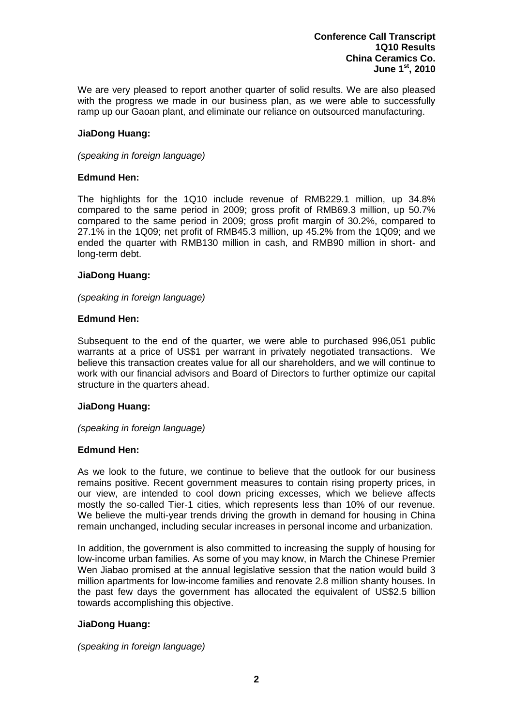We are very pleased to report another quarter of solid results. We are also pleased with the progress we made in our business plan, as we were able to successfully ramp up our Gaoan plant, and eliminate our reliance on outsourced manufacturing.

### **JiaDong Huang:**

*(speaking in foreign language)*

## **Edmund Hen:**

The highlights for the 1Q10 include revenue of RMB229.1 million, up 34.8% compared to the same period in 2009; gross profit of RMB69.3 million, up 50.7% compared to the same period in 2009; gross profit margin of 30.2%, compared to 27.1% in the 1Q09; net profit of RMB45.3 million, up 45.2% from the 1Q09; and we ended the quarter with RMB130 million in cash, and RMB90 million in short- and long-term debt.

## **JiaDong Huang:**

*(speaking in foreign language)*

## **Edmund Hen:**

Subsequent to the end of the quarter, we were able to purchased 996,051 public warrants at a price of US\$1 per warrant in privately negotiated transactions. We believe this transaction creates value for all our shareholders, and we will continue to work with our financial advisors and Board of Directors to further optimize our capital structure in the quarters ahead.

# **JiaDong Huang:**

*(speaking in foreign language)*

## **Edmund Hen:**

As we look to the future, we continue to believe that the outlook for our business remains positive. Recent government measures to contain rising property prices, in our view, are intended to cool down pricing excesses, which we believe affects mostly the so-called Tier-1 cities, which represents less than 10% of our revenue. We believe the multi-year trends driving the growth in demand for housing in China remain unchanged, including secular increases in personal income and urbanization.

In addition, the government is also committed to increasing the supply of housing for low-income urban families. As some of you may know, in March the Chinese Premier Wen Jiabao promised at the annual legislative session that the nation would build 3 million apartments for low-income families and renovate 2.8 million shanty houses. In the past few days the government has allocated the equivalent of US\$2.5 billion towards accomplishing this objective.

# **JiaDong Huang:**

*(speaking in foreign language)*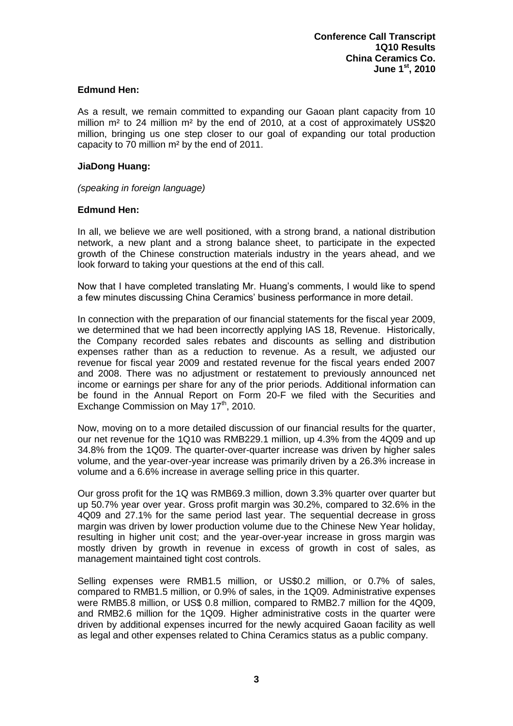## **Edmund Hen:**

As a result, we remain committed to expanding our Gaoan plant capacity from 10 million  $m<sup>2</sup>$  to 24 million  $m<sup>2</sup>$  by the end of 2010, at a cost of approximately US\$20 million, bringing us one step closer to our goal of expanding our total production capacity to 70 million m<sup>2</sup> by the end of 2011.

### **JiaDong Huang:**

*(speaking in foreign language)*

## **Edmund Hen:**

In all, we believe we are well positioned, with a strong brand, a national distribution network, a new plant and a strong balance sheet, to participate in the expected growth of the Chinese construction materials industry in the years ahead, and we look forward to taking your questions at the end of this call.

Now that I have completed translating Mr. Huang's comments, I would like to spend a few minutes discussing China Ceramics' business performance in more detail.

In connection with the preparation of our financial statements for the fiscal year 2009, we determined that we had been incorrectly applying IAS 18, Revenue. Historically, the Company recorded sales rebates and discounts as selling and distribution expenses rather than as a reduction to revenue. As a result, we adjusted our revenue for fiscal year 2009 and restated revenue for the fiscal years ended 2007 and 2008. There was no adjustment or restatement to previously announced net income or earnings per share for any of the prior periods. Additional information can be found in the Annual Report on Form 20-F we filed with the Securities and Exchange Commission on May 17<sup>th</sup>, 2010.

Now, moving on to a more detailed discussion of our financial results for the quarter, our net revenue for the 1Q10 was RMB229.1 million, up 4.3% from the 4Q09 and up 34.8% from the 1Q09. The quarter-over-quarter increase was driven by higher sales volume, and the year-over-year increase was primarily driven by a 26.3% increase in volume and a 6.6% increase in average selling price in this quarter.

Our gross profit for the 1Q was RMB69.3 million, down 3.3% quarter over quarter but up 50.7% year over year. Gross profit margin was 30.2%, compared to 32.6% in the 4Q09 and 27.1% for the same period last year. The sequential decrease in gross margin was driven by lower production volume due to the Chinese New Year holiday, resulting in higher unit cost; and the year-over-year increase in gross margin was mostly driven by growth in revenue in excess of growth in cost of sales, as management maintained tight cost controls.

Selling expenses were RMB1.5 million, or US\$0.2 million, or 0.7% of sales, compared to RMB1.5 million, or 0.9% of sales, in the 1Q09. Administrative expenses were RMB5.8 million, or US\$ 0.8 million, compared to RMB2.7 million for the 4Q09, and RMB2.6 million for the 1Q09. Higher administrative costs in the quarter were driven by additional expenses incurred for the newly acquired Gaoan facility as well as legal and other expenses related to China Ceramics status as a public company.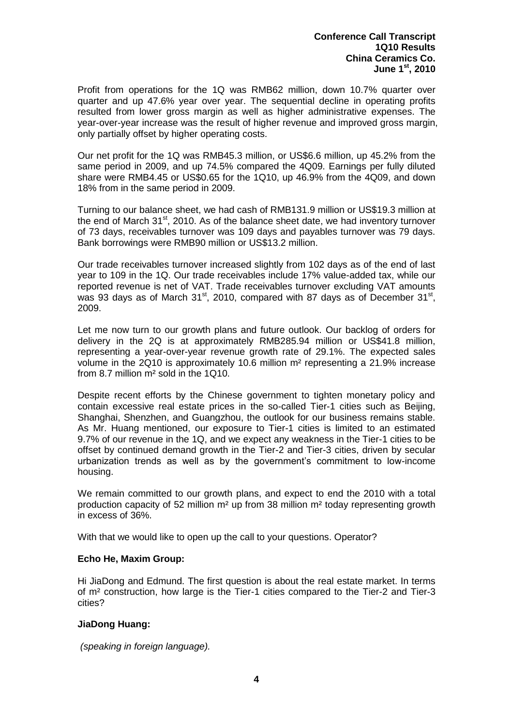Profit from operations for the 1Q was RMB62 million, down 10.7% quarter over quarter and up 47.6% year over year. The sequential decline in operating profits resulted from lower gross margin as well as higher administrative expenses. The year-over-year increase was the result of higher revenue and improved gross margin, only partially offset by higher operating costs.

Our net profit for the 1Q was RMB45.3 million, or US\$6.6 million, up 45.2% from the same period in 2009, and up 74.5% compared the 4Q09. Earnings per fully diluted share were RMB4.45 or US\$0.65 for the 1Q10, up 46.9% from the 4Q09, and down 18% from in the same period in 2009.

Turning to our balance sheet, we had cash of RMB131.9 million or US\$19.3 million at the end of March  $31<sup>st</sup>$ , 2010. As of the balance sheet date, we had inventory turnover of 73 days, receivables turnover was 109 days and payables turnover was 79 days. Bank borrowings were RMB90 million or US\$13.2 million.

Our trade receivables turnover increased slightly from 102 days as of the end of last year to 109 in the 1Q. Our trade receivables include 17% value-added tax, while our reported revenue is net of VAT. Trade receivables turnover excluding VAT amounts was 93 days as of March 31<sup>st</sup>, 2010, compared with 87 days as of December 31<sup>st</sup>, 2009.

Let me now turn to our growth plans and future outlook. Our backlog of orders for delivery in the 2Q is at approximately RMB285.94 million or US\$41.8 million, representing a year-over-year revenue growth rate of 29.1%. The expected sales volume in the 2Q10 is approximately 10.6 million m<sup>2</sup> representing a 21.9% increase from 8.7 million m² sold in the 1Q10.

Despite recent efforts by the Chinese government to tighten monetary policy and contain excessive real estate prices in the so-called Tier-1 cities such as Beijing, Shanghai, Shenzhen, and Guangzhou, the outlook for our business remains stable. As Mr. Huang mentioned, our exposure to Tier-1 cities is limited to an estimated 9.7% of our revenue in the 1Q, and we expect any weakness in the Tier-1 cities to be offset by continued demand growth in the Tier-2 and Tier-3 cities, driven by secular urbanization trends as well as by the government's commitment to low-income housing.

We remain committed to our growth plans, and expect to end the 2010 with a total production capacity of 52 million m² up from 38 million m² today representing growth in excess of 36%.

With that we would like to open up the call to your questions. Operator?

# **Echo He, Maxim Group:**

Hi JiaDong and Edmund. The first question is about the real estate market. In terms of m² construction, how large is the Tier-1 cities compared to the Tier-2 and Tier-3 cities?

# **JiaDong Huang:**

*(speaking in foreign language).*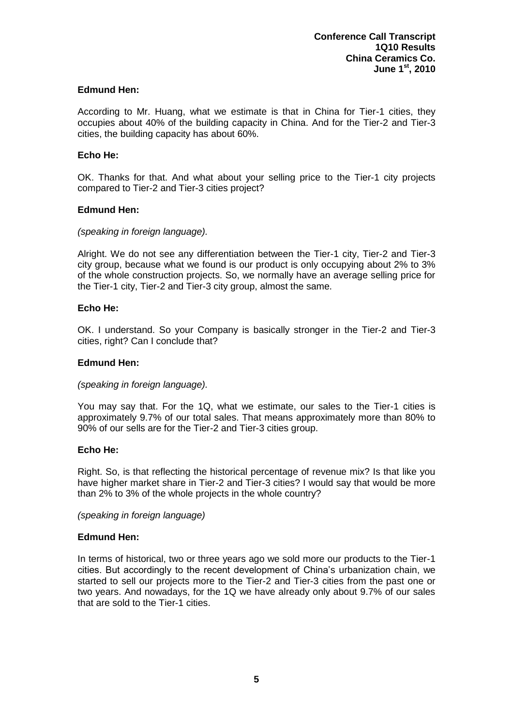## **Edmund Hen:**

According to Mr. Huang, what we estimate is that in China for Tier-1 cities, they occupies about 40% of the building capacity in China. And for the Tier-2 and Tier-3 cities, the building capacity has about 60%.

### **Echo He:**

OK. Thanks for that. And what about your selling price to the Tier-1 city projects compared to Tier-2 and Tier-3 cities project?

## **Edmund Hen:**

## *(speaking in foreign language).*

Alright. We do not see any differentiation between the Tier-1 city, Tier-2 and Tier-3 city group, because what we found is our product is only occupying about 2% to 3% of the whole construction projects. So, we normally have an average selling price for the Tier-1 city, Tier-2 and Tier-3 city group, almost the same.

## **Echo He:**

OK. I understand. So your Company is basically stronger in the Tier-2 and Tier-3 cities, right? Can I conclude that?

### **Edmund Hen:**

#### *(speaking in foreign language).*

You may say that. For the 1Q, what we estimate, our sales to the Tier-1 cities is approximately 9.7% of our total sales. That means approximately more than 80% to 90% of our sells are for the Tier-2 and Tier-3 cities group.

#### **Echo He:**

Right. So, is that reflecting the historical percentage of revenue mix? Is that like you have higher market share in Tier-2 and Tier-3 cities? I would say that would be more than 2% to 3% of the whole projects in the whole country?

*(speaking in foreign language)*

#### **Edmund Hen:**

In terms of historical, two or three years ago we sold more our products to the Tier-1 cities. But accordingly to the recent development of China's urbanization chain, we started to sell our projects more to the Tier-2 and Tier-3 cities from the past one or two years. And nowadays, for the 1Q we have already only about 9.7% of our sales that are sold to the Tier-1 cities.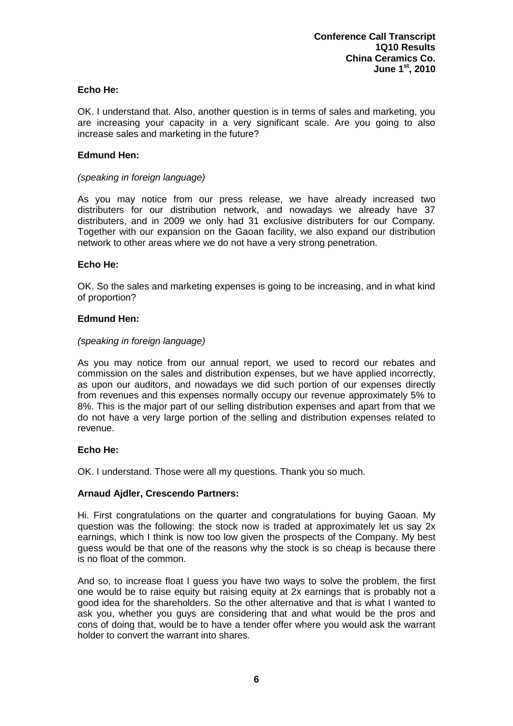## **Echo He:**

OK. I understand that. Also, another question is in terms of sales and marketing, you are increasing your capacity in a very significant scale. Are you going to also increase sales and marketing in the future?

#### **Edmund Hen:**

### *(speaking in foreign language)*

As you may notice from our press release, we have already increased two distributers for our distribution network, and nowadays we already have 37 distributers, and in 2009 we only had 31 exclusive distributers for our Company. Together with our expansion on the Gaoan facility, we also expand our distribution network to other areas where we do not have a very strong penetration.

## **Echo He:**

OK. So the sales and marketing expenses is going to be increasing, and in what kind of proportion?

## **Edmund Hen:**

## *(speaking in foreign language)*

As you may notice from our annual report, we used to record our rebates and commission on the sales and distribution expenses, but we have applied incorrectly, as upon our auditors, and nowadays we did such portion of our expenses directly from revenues and this expenses normally occupy our revenue approximately 5% to 8%. This is the major part of our selling distribution expenses and apart from that we do not have a very large portion of the selling and distribution expenses related to revenue.

#### **Echo He:**

OK. I understand. Those were all my questions. Thank you so much.

# **Arnaud Ajdler, Crescendo Partners:**

Hi. First congratulations on the quarter and congratulations for buying Gaoan. My question was the following: the stock now is traded at approximately let us say 2x earnings, which I think is now too low given the prospects of the Company. My best guess would be that one of the reasons why the stock is so cheap is because there is no float of the common.

And so, to increase float I guess you have two ways to solve the problem, the first one would be to raise equity but raising equity at 2x earnings that is probably not a good idea for the shareholders. So the other alternative and that is what I wanted to ask you, whether you guys are considering that and what would be the pros and cons of doing that, would be to have a tender offer where you would ask the warrant holder to convert the warrant into shares.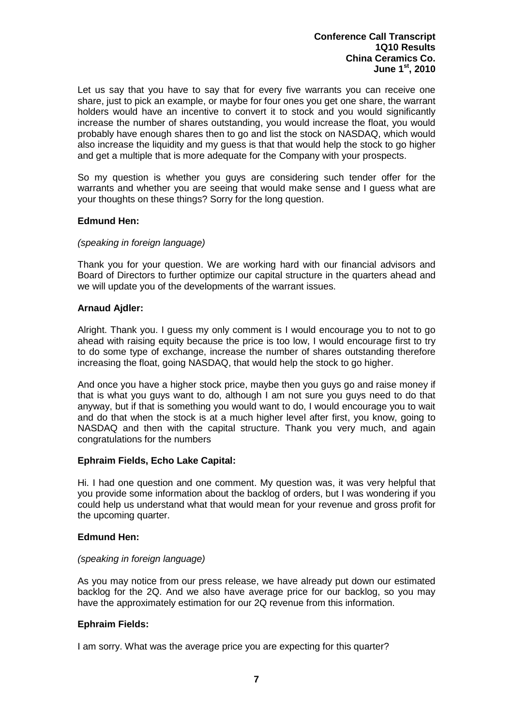Let us say that you have to say that for every five warrants you can receive one share, just to pick an example, or maybe for four ones you get one share, the warrant holders would have an incentive to convert it to stock and you would significantly increase the number of shares outstanding, you would increase the float, you would probably have enough shares then to go and list the stock on NASDAQ, which would also increase the liquidity and my guess is that that would help the stock to go higher and get a multiple that is more adequate for the Company with your prospects.

So my question is whether you guys are considering such tender offer for the warrants and whether you are seeing that would make sense and I guess what are your thoughts on these things? Sorry for the long question.

## **Edmund Hen:**

## *(speaking in foreign language)*

Thank you for your question. We are working hard with our financial advisors and Board of Directors to further optimize our capital structure in the quarters ahead and we will update you of the developments of the warrant issues.

## **Arnaud Ajdler:**

Alright. Thank you. I guess my only comment is I would encourage you to not to go ahead with raising equity because the price is too low, I would encourage first to try to do some type of exchange, increase the number of shares outstanding therefore increasing the float, going NASDAQ, that would help the stock to go higher.

And once you have a higher stock price, maybe then you guys go and raise money if that is what you guys want to do, although I am not sure you guys need to do that anyway, but if that is something you would want to do, I would encourage you to wait and do that when the stock is at a much higher level after first, you know, going to NASDAQ and then with the capital structure. Thank you very much, and again congratulations for the numbers

#### **Ephraim Fields, Echo Lake Capital:**

Hi. I had one question and one comment. My question was, it was very helpful that you provide some information about the backlog of orders, but I was wondering if you could help us understand what that would mean for your revenue and gross profit for the upcoming quarter.

#### **Edmund Hen:**

#### *(speaking in foreign language)*

As you may notice from our press release, we have already put down our estimated backlog for the 2Q. And we also have average price for our backlog, so you may have the approximately estimation for our 2Q revenue from this information.

#### **Ephraim Fields:**

I am sorry. What was the average price you are expecting for this quarter?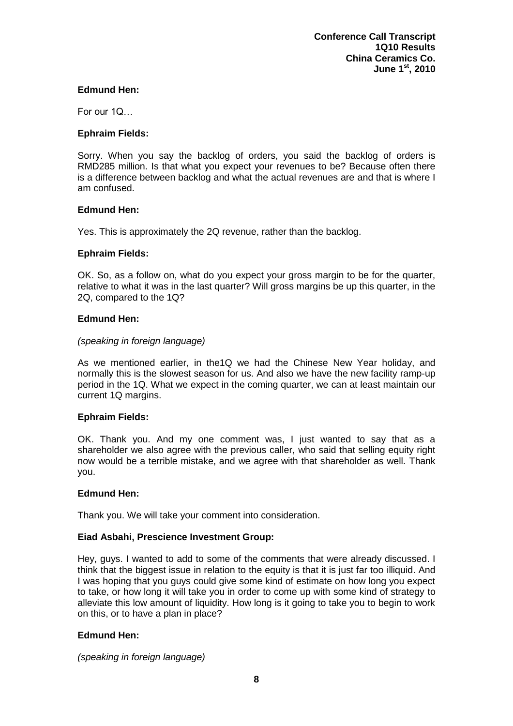## **Edmund Hen:**

For our 1Q…

## **Ephraim Fields:**

Sorry. When you say the backlog of orders, you said the backlog of orders is RMD285 million. Is that what you expect your revenues to be? Because often there is a difference between backlog and what the actual revenues are and that is where I am confused.

## **Edmund Hen:**

Yes. This is approximately the 2Q revenue, rather than the backlog.

## **Ephraim Fields:**

OK. So, as a follow on, what do you expect your gross margin to be for the quarter, relative to what it was in the last quarter? Will gross margins be up this quarter, in the 2Q, compared to the 1Q?

## **Edmund Hen:**

## *(speaking in foreign language)*

As we mentioned earlier, in the1Q we had the Chinese New Year holiday, and normally this is the slowest season for us. And also we have the new facility ramp-up period in the 1Q. What we expect in the coming quarter, we can at least maintain our current 1Q margins.

# **Ephraim Fields:**

OK. Thank you. And my one comment was, I just wanted to say that as a shareholder we also agree with the previous caller, who said that selling equity right now would be a terrible mistake, and we agree with that shareholder as well. Thank you.

#### **Edmund Hen:**

Thank you. We will take your comment into consideration.

# **Eiad Asbahi, Prescience Investment Group:**

Hey, guys. I wanted to add to some of the comments that were already discussed. I think that the biggest issue in relation to the equity is that it is just far too illiquid. And I was hoping that you guys could give some kind of estimate on how long you expect to take, or how long it will take you in order to come up with some kind of strategy to alleviate this low amount of liquidity. How long is it going to take you to begin to work on this, or to have a plan in place?

# **Edmund Hen:**

*(speaking in foreign language)*